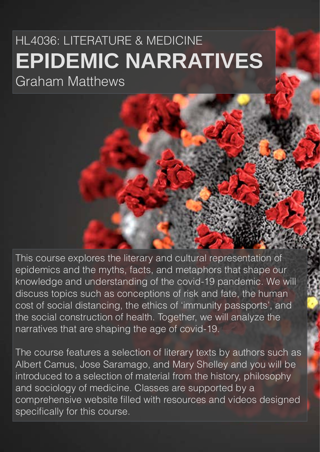# HL4036: LITERATURE & MEDICINE **EPIDEMIC NARRATIVES** Graham Matthews

This course explores the literary and cultural representation of epidemics and the myths, facts, and metaphors that shape our knowledge and understanding of the covid-19 pandemic. We will discuss topics such as conceptions of risk and fate, the human cost of social distancing, the ethics of 'immunity passports', and the social construction of health. Together, we will analyze the narratives that are shaping the age of covid-19.

The course features a selection of literary texts by authors such as Albert Camus, Jose Saramago, and Mary Shelley and you will be introduced to a selection of material from the history, philosophy and sociology of medicine. Classes are supported by a comprehensive website filled with resources and videos designed specifically for this course.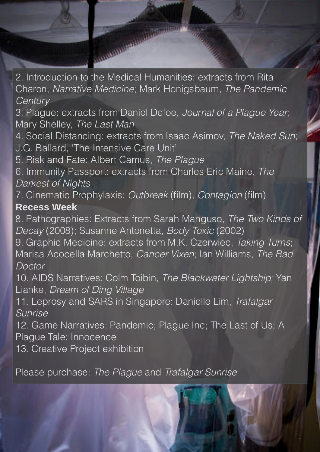2. Introduction to the Medical Humanities: extracts from Rita Charon, *Narrative Medicine*; Mark Honigsbaum, *The Pandemic Century*

3. Plague: extracts from Daniel Defoe, *Journal of a Plague Year*; Mary Shelley, *The Last Man*

4. Social Distancing: extracts from Isaac Asimov, *The Naked Sun*; J.G. Ballard, 'The Intensive Care Unit'

5. Risk and Fate: Albert Camus, *The Plague*

Manufacturer of Manufacturer

6. Immunity Passport: extracts from Charles Eric Maine, *The Darkest of Nights*

7. Cinematic Prophylaxis: *Outbreak* (film), *Contagion* (film)

## **Recess Week**

8. Pathographies: Extracts from Sarah Manguso, *The Two Kinds of Decay* (2008); Susanne Antonetta, *Body Toxic* (2002)

9. Graphic Medicine: extracts from M.K. Czerwiec, *Taking Turns*; Marisa Acocella Marchetto, *Cancer Vixen*; Ian Williams, *The Bad Doctor* 

10. AIDS Narratives: Colm Toibin, *The Blackwater Lightship;* Yan Lianke, *Dream of Ding Village*

11. Leprosy and SARS in Singapore: Danielle Lim, *Trafalgar Sunrise* 

12. Game Narratives: Pandemic; Plague Inc; The Last of Us; A Plague Tale: Innocence

13. Creative Project exhibition

Please purchase: *The Plague* and *Trafalgar Sunrise*